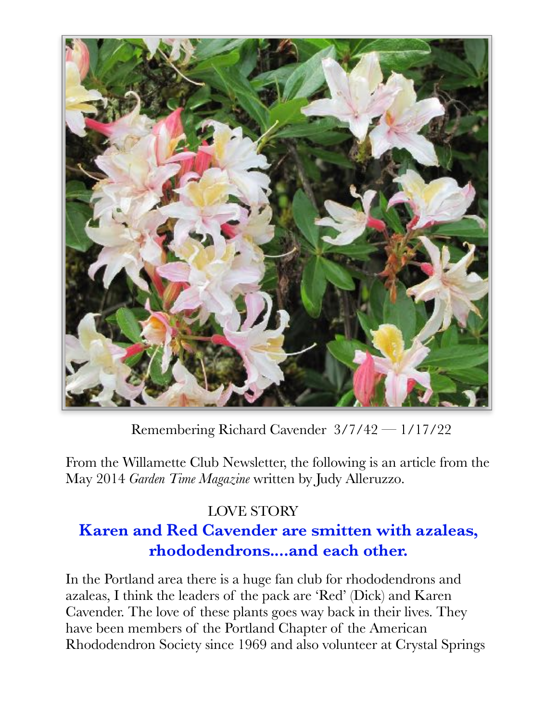

 Remembering Richard Cavender 3/7/42 — 1/17/22

From the Willamette Club Newsletter, the following is an article from the May 2014 *Garden Time Magazine* written by Judy Alleruzzo.

## LOVE STORY **Karen and Red Cavender are smitten with azaleas, rhododendrons....and each other.**

In the Portland area there is a huge fan club for rhododendrons and azaleas, I think the leaders of the pack are 'Red' (Dick) and Karen Cavender. The love of these plants goes way back in their lives. They have been members of the Portland Chapter of the American Rhododendron Society since 1969 and also volunteer at Crystal Springs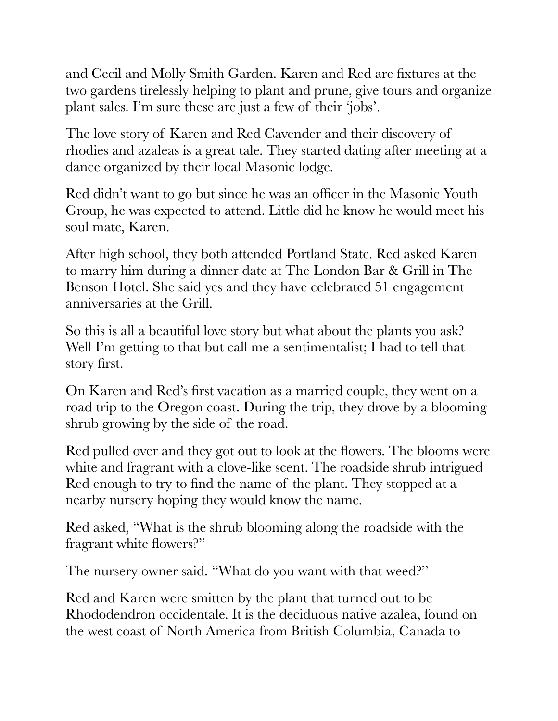and Cecil and Molly Smith Garden. Karen and Red are fixtures at the two gardens tirelessly helping to plant and prune, give tours and organize plant sales. I'm sure these are just a few of their 'jobs'.

The love story of Karen and Red Cavender and their discovery of rhodies and azaleas is a great tale. They started dating after meeting at a dance organized by their local Masonic lodge.

Red didn't want to go but since he was an officer in the Masonic Youth Group, he was expected to attend. Little did he know he would meet his soul mate, Karen.

After high school, they both attended Portland State. Red asked Karen to marry him during a dinner date at The London Bar & Grill in The Benson Hotel. She said yes and they have celebrated 51 engagement anniversaries at the Grill.

So this is all a beautiful love story but what about the plants you ask? Well I'm getting to that but call me a sentimentalist; I had to tell that story first.

On Karen and Red's first vacation as a married couple, they went on a road trip to the Oregon coast. During the trip, they drove by a blooming shrub growing by the side of the road.

Red pulled over and they got out to look at the flowers. The blooms were white and fragrant with a clove-like scent. The roadside shrub intrigued Red enough to try to find the name of the plant. They stopped at a nearby nursery hoping they would know the name.

Red asked, "What is the shrub blooming along the roadside with the fragrant white flowers?"

The nursery owner said. "What do you want with that weed?"

Red and Karen were smitten by the plant that turned out to be Rhododendron occidentale. It is the deciduous native azalea, found on the west coast of North America from British Columbia, Canada to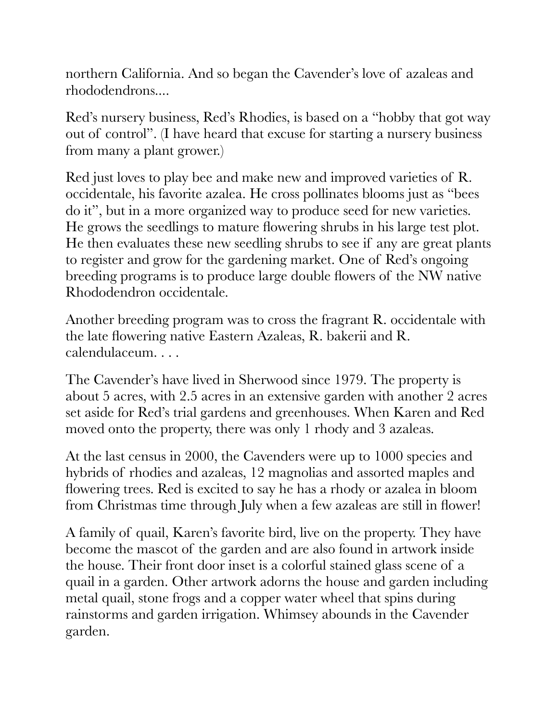northern California. And so began the Cavender's love of azaleas and rhododendrons....

Red's nursery business, Red's Rhodies, is based on a "hobby that got way out of control". (I have heard that excuse for starting a nursery business from many a plant grower.)

Red just loves to play bee and make new and improved varieties of R. occidentale, his favorite azalea. He cross pollinates blooms just as "bees do it", but in a more organized way to produce seed for new varieties. He grows the seedlings to mature flowering shrubs in his large test plot. He then evaluates these new seedling shrubs to see if any are great plants to register and grow for the gardening market. One of Red's ongoing breeding programs is to produce large double flowers of the NW native Rhododendron occidentale.

Another breeding program was to cross the fragrant R. occidentale with the late flowering native Eastern Azaleas, R. bakerii and R. calendulaceum. . . .

The Cavender's have lived in Sherwood since 1979. The property is about 5 acres, with 2.5 acres in an extensive garden with another 2 acres set aside for Red's trial gardens and greenhouses. When Karen and Red moved onto the property, there was only 1 rhody and 3 azaleas.

At the last census in 2000, the Cavenders were up to 1000 species and hybrids of rhodies and azaleas, 12 magnolias and assorted maples and flowering trees. Red is excited to say he has a rhody or azalea in bloom from Christmas time through July when a few azaleas are still in flower!

A family of quail, Karen's favorite bird, live on the property. They have become the mascot of the garden and are also found in artwork inside the house. Their front door inset is a colorful stained glass scene of a quail in a garden. Other artwork adorns the house and garden including metal quail, stone frogs and a copper water wheel that spins during rainstorms and garden irrigation. Whimsey abounds in the Cavender garden.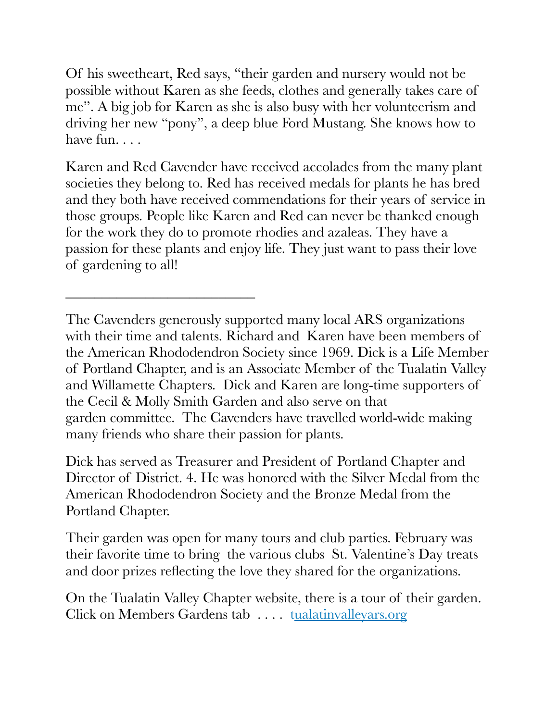Of his sweetheart, Red says, "their garden and nursery would not be possible without Karen as she feeds, clothes and generally takes care of me". A big job for Karen as she is also busy with her volunteerism and driving her new "pony", a deep blue Ford Mustang. She knows how to have fun...

Karen and Red Cavender have received accolades from the many plant societies they belong to. Red has received medals for plants he has bred and they both have received commendations for their years of service in those groups. People like Karen and Red can never be thanked enough for the work they do to promote rhodies and azaleas. They have a passion for these plants and enjoy life. They just want to pass their love of gardening to all!

\_\_\_\_\_\_\_\_\_\_\_\_\_\_\_\_\_\_\_\_\_\_\_\_\_\_

Dick has served as Treasurer and President of Portland Chapter and Director of District. 4. He was honored with the Silver Medal from the American Rhododendron Society and the Bronze Medal from the Portland Chapter.

Their garden was open for many tours and club parties. February was their favorite time to bring the various clubs St. Valentine's Day treats and door prizes reflecting the love they shared for the organizations.

On the Tualatin Valley Chapter website, there is a tour of their garden. Click on Members Gardens tab . . . . tualatinvalleyars.org

The Cavenders generously supported many local ARS organizations with their time and talents. Richard and Karen have been members of the American Rhododendron Society since 1969. Dick is a Life Member of Portland Chapter, and is an Associate Member of the Tualatin Valley and Willamette Chapters. Dick and Karen are long-time supporters of the Cecil & Molly Smith Garden and also serve on that garden committee. The Cavenders have travelled world-wide making many friends who share their passion for plants.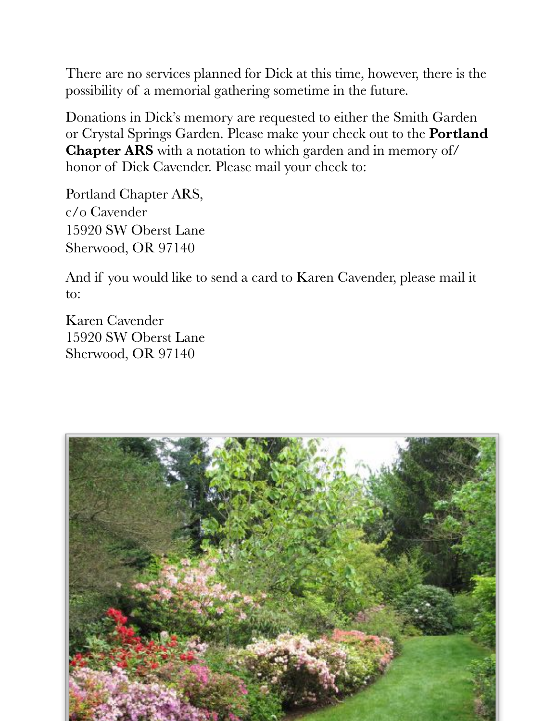There are no services planned for Dick at this time, however, there is the possibility of a memorial gathering sometime in the future.

Donations in Dick's memory are requested to either the Smith Garden or Crystal Springs Garden. Please make your check out to the **Portland Chapter ARS** with a notation to which garden and in memory of/ honor of Dick Cavender. Please mail your check to:

Portland Chapter ARS, c/o Cavender 15920 SW Oberst Lane Sherwood, OR 97140

And if you would like to send a card to Karen Cavender, please mail it to:

Karen Cavender 15920 SW Oberst Lane Sherwood, OR 97140